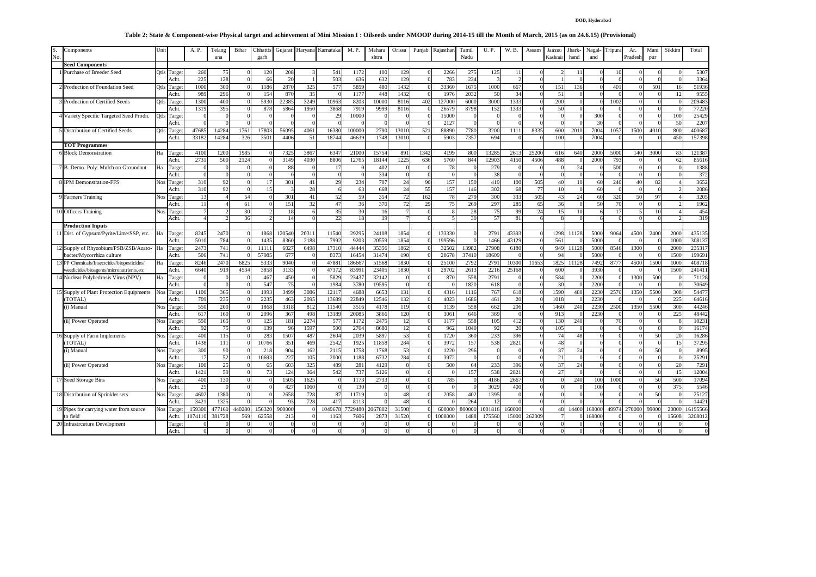## **DOD, Hyderabad**

## **Table 2: State & Component-wise Physical target and achievement of Mini Mission I : Oilseeds under NMOOP during 2014-15 till the Month of March, 2015 (as on 24.6.15) (Provisional)**

| S.<br>No | Components                               | Uni        |        | A. P.    | Telang<br>ana | Bihar          | Chhattis<br>garh | Gujarat      | Haryana | Karnataka | M. P.   | Mahara<br>shtra | Orissa   | Punjab | Rajasthan | Tamil<br>Nadu | U.P.    | W. B.      | Assam | Jammu<br>Kashmir | <b>Jhark-</b><br>hand | Nagal<br>and | Tripura  | Ar.<br>Pradesh | Mani<br>pur | Sikkim         | Total    |
|----------|------------------------------------------|------------|--------|----------|---------------|----------------|------------------|--------------|---------|-----------|---------|-----------------|----------|--------|-----------|---------------|---------|------------|-------|------------------|-----------------------|--------------|----------|----------------|-------------|----------------|----------|
|          | <b>Seed Components</b>                   |            |        |          |               |                |                  |              |         |           |         |                 |          |        |           |               |         |            |       |                  |                       |              |          |                |             |                |          |
|          | Purchase of Breeder Seed                 | Otls       | Targe  | 260      | -75           |                | 12(              | 208          |         | 541       | 117     | 100             | 129      |        | 2266      | 275           | 125     |            |       |                  |                       |              |          |                |             |                | 530      |
|          |                                          |            | Acht.  | 225      | 128           |                | -66              | 20           |         | 503       | 636     | 632             | 129      |        | 783       | 234           |         |            |       |                  |                       |              |          |                |             |                | 3364     |
|          | Production of Foundation Seed            | Otls       | Targe  | 1000     | 300           |                | 1186             | 2870         | 325     | 577       | 5859    | 480             | 1432     |        | 33360     | 1675          | 1000    | 667        |       | 151              | 136                   |              | 401      |                | 501         | 16             | 5193     |
|          |                                          |            | Acht.  | 989      | 296           |                | 15 <sub>6</sub>  | 870          | 35      |           | 1177    | 448             | 143      |        | 197       | 2032          | 50      | 34         |       | 51               |                       |              |          |                |             |                | 955      |
|          | Production of Certified Seeds            | Otls       | Targe  | 1300     | 400           |                | 593              | 22385        | 3249    | 10963     | 8203    | 1000            | 811      | 402    | 12700     | 6000          | 3000    | 1333       |       | 200              |                       |              | 1002     |                |             |                | 20948    |
|          |                                          |            | Acht.  | 1319     | 395           |                | 878              | 5864         | 1950    | 3868      | 7919    | 9999            | 8116     |        | 2657      | 8798          | 152     | 1333       |       | 50               |                       |              |          |                |             |                | 77220    |
|          | Variety Specific Targeted Seed Prodn.    | Qtls       | Targe  |          |               |                |                  |              |         | 29        | 10000   |                 | $\Omega$ |        | 15000     |               |         |            |       | $\Omega$         |                       | 300          |          |                |             | 100            | 25429    |
|          |                                          |            | Acht.  |          |               |                |                  |              |         |           |         |                 |          |        | 2127      |               |         |            |       |                  |                       | 30           |          |                |             | 50             | 220      |
|          | Distribution of Certified Seeds          | Otls       | Target | 47685    | 1428          | 1761           | 17803            | 56095        | 4061    | 16380     | 10000   | 2790            | 13010    | 521    | 8889      | 7780          | 3200    | 1111       | 8335  | 600              | 201                   | 7004         | 1057     | 1500           | 4010        | 800            | 400687   |
|          |                                          |            | Acht.  | 3318     | 1428          | 326            | 350              | 4406         | 51      | 18744     | 46639   | 1748            | 13010    |        | 590       | 7357          | 694     |            |       | 100              |                       | 7004         |          |                |             | 450            | 157398   |
|          | <b>TOT Programmes</b>                    |            |        |          |               |                |                  |              |         |           |         |                 |          |        |           |               |         |            |       |                  |                       |              |          |                |             |                |          |
|          | <b>Block Demonstration</b>               | Ha         | Targe  | 4100     | 1200          | 1985           |                  | 7325         | 3867    | 6347      | 21000   | 1575            | 891      | 1342   | 4199      | 800           | 1328:   | 261        | 2520  | 616              | 64                    | 2000         | 5000     | 140            | 3000        | 83             | 12138    |
|          |                                          |            | Acht.  | 2731     | 500           | 2124           |                  | 3149         | 4030    | 8806      | 12765   | 1814            | 1225     | 636    | 5760      | 844           | 1290    | 4150       | 4506  | 488              |                       | 2000         | 793      |                |             | 62             | 8561     |
|          | B. Demo. Poly. Mulch on Groundnut        | Ha         | Target |          |               |                |                  | 88           |         | 17        |         | 402             |          |        | 78        |               | 279     |            |       |                  | 24                    |              | 500      |                |             |                | 1388     |
|          |                                          |            | Acht.  |          |               |                |                  |              |         |           |         | 334             |          |        |           |               | 38      |            |       |                  |                       |              |          |                |             |                | 372      |
|          | <b>IPM</b> Demonstration-FFS             | Nos        | Targe  | 310      | 92            |                |                  | 301          | 41      | 29        | 234     | 707             | 24       | 90     | 157       | 15(           | 419     | 100        | 505   | 40               | 10                    | 60           | 240      | $\overline{4}$ | 82          |                | 3652     |
|          |                                          |            | Acht.  | 310      | 92            |                |                  |              | 28      |           | 63      | 668             | 24       | 55     | 157       | 146           | 302     | 68         | 77    | 10               |                       | 60           |          |                |             |                | 2086     |
|          | 9 Farmers Training                       | Nos        | Targe  | 13       |               | 54             |                  | 301          | 41      | 52        | 59      | 354             | 72       | 162    | 78        | 279           | 300     | 333        | 505   | 43               | 24                    | 60           | 320      | 50             | 97          |                | 320:     |
|          |                                          |            | Acht.  | 11       |               | 61             |                  | 151          | 32      | 47        | 36      | 370             | 72       | 29     | 75        | 269           | 297     | 285        | 65    | 36               |                       | 50           | 70       |                |             |                | 1962     |
|          | 10 Officers Training                     | Nos        | Farget |          |               | 3 <sup>0</sup> |                  | 18           |         | 35        | 30      | 16              |          |        |           | 28            | 75      | 99         | 24    | 15               |                       |              | 17       |                |             |                | 454      |
|          |                                          |            | Acht.  |          |               | 36             |                  | 14           |         | 22        | 18      | 19              |          |        |           | 30            | 57      | 81         |       |                  |                       |              |          |                |             |                | 319      |
|          | <b>Production Inputs</b>                 |            |        |          |               |                |                  |              |         |           |         |                 |          |        |           |               |         |            |       |                  |                       |              |          |                |             |                |          |
|          | 11 Dist. of Gypsum/Pyrite/Lime/SSP, etc. | Ha         | Targe  | 8245     | 2470          |                | 186              | 120540       | 2031    | 11540     | 29295   | 2410            | 185      |        | 13333     |               | 2791    | 43393      |       | 1298             | 1112                  | 5000         | 9064     | 4500           | 2400        | 2000           | 43513:   |
|          |                                          |            | Acht.  | 5010     | 784           |                | 143              | 8360         | 2188    | 7992      | 9203    | 2055            | 1854     |        | 199596    |               | 1466    | 43129      |       | 561              |                       | 5000         |          |                |             | 1000           | 30813    |
|          | 12 Supply of Rhyzobium/PSB/ZSB/Azato-    | Ha         | Targe  | 2473     | 741           |                | 1111             | 6027         | 6498    | 17310     | 44444   | 3535            | 1862     |        | 32502     | 13982         | 27908   | 6180       |       | 949              | 1112                  | 5000         | 8546     | 1300           |             | 200            | 23531    |
|          | bacter/Mvcorrhiza culture                |            | Acht.  | 506      | 741           |                | 5798:            | 677          |         | 837       | 1645    | 3147            | 190      |        | 2067      | 37410         | 18609   |            |       | $Q_4$            |                       | 5000         |          |                |             | 150            | 19969    |
|          | PP Chemicals/Insectcides/biopesticides/  | Ha         | Targe  | 8246     | 2470          | 682            | 533              | 9040         |         | 47881     | 18666   | 51568           | 1830     |        | 2510      | 2792          | 2791    | 10300      | 11653 | 182              | 11128                 | 7492         | 8777     | 4500           | 150         | 100            | 40871    |
|          | weedicides/bioagents/micronutrients,etc  |            | Acht.  | 6640     | 91            | 4534           | 385              | 3133         |         | 4737      | 8399    | 2340:           | 1830     |        | 2970      | 2613          | 2216    | 25168      |       | 600              |                       | 3930         |          |                |             | 150            | 24141    |
|          | 14 Nuclear Polyhedrosis Virus (NPV)      | Ha         | Target |          |               |                | 467              | 450          |         | 5829      | 23437   | 32142           | $\Omega$ |        | 870       | 558           | 2791    | $\epsilon$ |       | 584              |                       | 2200         | $\Omega$ | 1300           | 500         |                | 71128    |
|          |                                          |            | Acht.  |          |               |                | 547              | 75           |         | 1984      | 3780    | 1959:           | $\Omega$ |        |           | 1820          | 618     | ſ          |       | 30               |                       | 2200         |          |                |             |                | 30649    |
|          | 15 Supply of Plant Protection Equipments | <b>Nos</b> | Target | 1100     | 365           |                | 1993             | 3499         | 3086    | 12117     | 4688    | 6653            | 131      |        | 4316      | 1116          | 767     | 618        |       | 1590             | 480                   | 2230         | 2570     | 1350           | 5500        | 308            | 54477    |
|          | (TOTAL)                                  |            | Acht.  | 709      | 235           |                | 223:             | 463          | 2095    | 13689     | 22849   | 12546           | 132      |        | 402       | 1686          | 461     | 20         |       | 101              |                       | 2230         |          |                |             | 225            | 6461     |
|          | (i) Manual                               | Nos        | Targe  | 550      | 200           |                | 186              | 3318         | 812     | 11540     | 351     | 4178            | 119      |        | 3139      | 558           | 662     | 206        |       | 1460             | 240                   | 2230         | 2500     | 1350           | 5500        | 300            | 4424     |
|          |                                          |            | Acht.  | 617      | 160           |                | 209              | 367          | 498     | 13189     | 2008:   | 3866            | 120      |        | 3061      | 646           | 369     |            |       | 91               |                       | 2230         |          |                |             | 225            | 48442    |
|          | (ii) Power Operated                      | Nos        | Targe  | 550      | 165           |                | 12:              | 181          | 2274    | 577       | 117     | 247:            | 12       |        | 117       | 558           | 105     | 412        |       | 130              | 240                   |              | 70       |                |             |                | 1023     |
|          |                                          |            | Acht.  | 92       | 75            |                | 139              | 96           | 1597    | 500       | 2764    | 8680            | 12       |        | 962       | 1040          | 92      | 20         |       | 105              |                       |              |          |                |             |                | 16174    |
|          | 16 Supply of Farm Implements             | Nos        | Target | 400      | 115           |                | 28               | 1507         | 487     | 2604      | 2039    | 5897            | 53       |        | 1720      | 360           | 233     | 396        |       | 74               | 48                    |              |          |                | 50          | 20             | 1628     |
|          | (TOTAL)                                  |            | Acht.  | 1438     | 111           |                | 1076             | 351          | 469     | 2542      | 192     | 11858           | 284      |        | 3972      | 157           | 538     | 2821       |       | 48               |                       |              |          |                |             | 1 <sup>4</sup> | 3729:    |
|          | (i) Manual                               | <b>Nos</b> | Targe  | 300      | 90            |                | 213              | 904          | 162     | 2115      | 1758    | 1768            | 53       |        | 122       | 296           |         |            |       | 37               | 24                    |              |          |                | 50          |                | 8995     |
|          |                                          |            | Acht.  | 17       | 52            |                | 10693            | 227          | 105     | 2000      | 1188    | 6732            | 284      |        | 3972      |               |         | ſ          |       | 21               | $\Omega$              |              |          |                |             |                | 2529     |
|          | (ii) Power Operated                      | Nos        | Targe  | 100      | 25            |                | 65               | 603          | 325     | 489       | 281     | 4129            | $\Omega$ |        | 500       | 64            | 233     | 396        |       | 37               | 24                    |              | $\Omega$ |                |             | 20             | 7291     |
|          |                                          |            | Acht.  | 1421     | 59            |                |                  | 124          | 364     | 542       | 737     | 5126            |          |        |           | 157           | 538     | 2821       |       | 27               |                       |              |          |                |             | 15             | 12004    |
|          | 17 Seed Storage Bins                     | Nos        | Targe  | 400      | 130           |                |                  | 1505         | 1625    |           | 1173    | 2733            |          |        | 785       |               | 418     | 2667       |       |                  | 240                   | 100          | 1000     |                | 50          | 500            | 17094    |
|          |                                          |            | Acht.  | 25       |               |                |                  | $42^{\circ}$ | 1060    |           | 13(     |                 |          |        |           |               | 3029    | 400        |       |                  |                       | 100          |          |                |             | 375            | 554      |
|          | 18 Distribution of Sprinkler sets        | Nos        | Targe  | 4602     | 1380          |                |                  | 2658         | 728     | 87        | 11719   | $\Omega$        | 48       |        | 2058      | 402           | 1395    | $\epsilon$ |       |                  |                       |              |          |                | 50          |                | 25127    |
|          |                                          |            | Acht.  | 3421     | 132           |                |                  | 93           | 728     | 417       | 811     | $\Omega$        | 48       |        |           | 264           | 12      | ſ          |       |                  |                       |              |          |                |             |                | 1442     |
|          | 19 Pipes for carrying water from source  | Nos        | Targe  | 159300   | 477160        | 440280         | 15632            | 900000       |         | 1049678   | 7729480 | 2067802         | 31508    |        | 600000    | 800000        | 1001816 | 160000     |       | 48               | 14400                 | 168000       | 49974    | 270000         | 99000       | 2080           | 16195566 |
|          | to field                                 |            | Acht.  | 107411   | 38172         | 569            | 6255             | 213          |         | 116       | 7606    | 287             | 31520    |        | 100800    | 1488          | 175560  | 15000      | 26200 |                  |                       | 16800        |          |                |             | 1560           | 320801   |
|          | 20 Infrastrcuture Development            |            | Targe  |          |               |                |                  |              |         |           |         |                 |          |        |           |               |         |            |       |                  |                       |              |          |                |             |                |          |
|          |                                          |            | Acht.  | $\Omega$ |               |                |                  |              |         |           |         | $\Omega$        |          |        |           |               |         |            |       | $\Omega$         |                       |              |          |                |             |                |          |